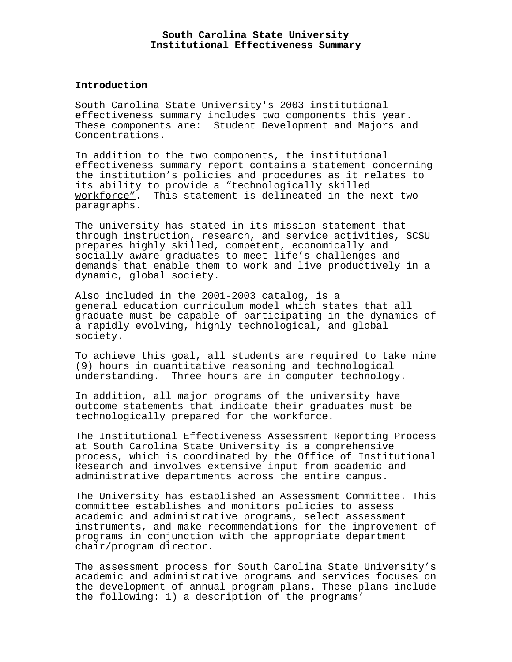### **South Carolina State University Institutional Effectiveness Summary**

### **Introduction**

South Carolina State University's 2003 institutional effectiveness summary includes two components this year. These components are: Student Development and Majors and Concentrations.

In addition to the two components, the institutional effectiveness summary report contains a statement concerning the institution's policies and procedures as it relates to its ability to provide a "technologically skilled workforce". This statement is delineated in the next two paragraphs.

The university has stated in its mission statement that through instruction, research, and service activities, SCSU prepares highly skilled, competent, economically and socially aware graduates to meet life's challenges and demands that enable them to work and live productively in a dynamic, global society.

Also included in the 2001-2003 catalog, is a general education curriculum model which states that all graduate must be capable of participating in the dynamics of a rapidly evolving, highly technological, and global society.

To achieve this goal, all students are required to take nine (9) hours in quantitative reasoning and technological understanding. Three hours are in computer technology.

In addition, all major programs of the university have outcome statements that indicate their graduates must be technologically prepared for the workforce.

The Institutional Effectiveness Assessment Reporting Process at South Carolina State University is a comprehensive process, which is coordinated by the Office of Institutional Research and involves extensive input from academic and administrative departments across the entire campus.

The University has established an Assessment Committee. This committee establishes and monitors policies to assess academic and administrative programs, select assessment instruments, and make recommendations for the improvement of programs in conjunction with the appropriate department chair/program director.

The assessment process for South Carolina State University's academic and administrative programs and services focuses on the development of annual program plans. These plans include the following: 1) a description of the programs'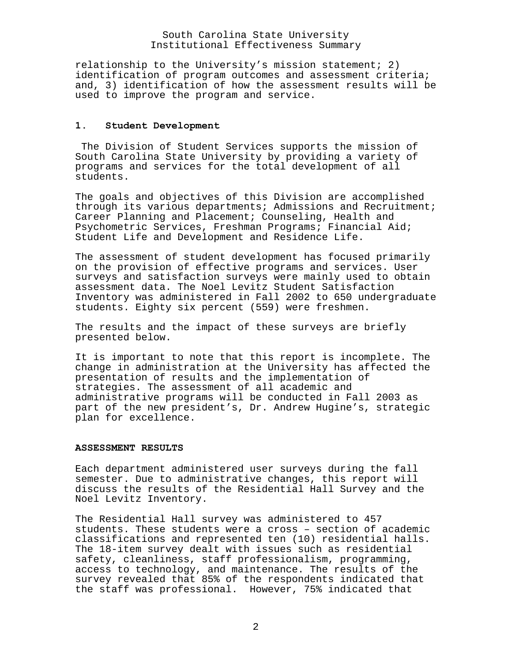## South Carolina State University Institutional Effectiveness Summary

relationship to the University's mission statement; 2) identification of program outcomes and assessment criteria; and, 3) identification of how the assessment results will be used to improve the program and service.

#### **1. Student Development**

 The Division of Student Services supports the mission of South Carolina State University by providing a variety of programs and services for the total development of all students.

The goals and objectives of this Division are accomplished through its various departments; Admissions and Recruitment; Career Planning and Placement; Counseling, Health and Psychometric Services, Freshman Programs; Financial Aid; Student Life and Development and Residence Life.

The assessment of student development has focused primarily on the provision of effective programs and services. User surveys and satisfaction surveys were mainly used to obtain assessment data. The Noel Levitz Student Satisfaction Inventory was administered in Fall 2002 to 650 undergraduate students. Eighty six percent (559) were freshmen.

The results and the impact of these surveys are briefly presented below.

It is important to note that this report is incomplete. The change in administration at the University has affected the presentation of results and the implementation of strategies. The assessment of all academic and administrative programs will be conducted in Fall 2003 as part of the new president's, Dr. Andrew Hugine's, strategic plan for excellence.

#### **ASSESSMENT RESULTS**

Each department administered user surveys during the fall semester. Due to administrative changes, this report will discuss the results of the Residential Hall Survey and the Noel Levitz Inventory.

The Residential Hall survey was administered to 457 students. These students were a cross – section of academic classifications and represented ten (10) residential halls. The 18-item survey dealt with issues such as residential safety, cleanliness, staff professionalism, programming, access to technology, and maintenance. The results of the survey revealed that 85% of the respondents indicated that the staff was professional. However, 75% indicated that